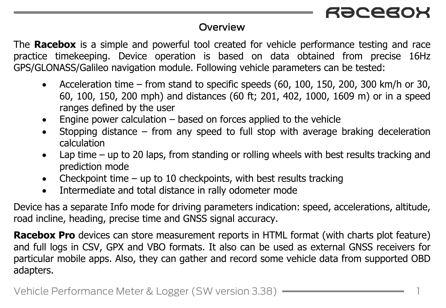#### Overview

The **Racebox** is a simple and powerful tool created for vehicle performance testing and race practice timekeeping. Device operation is based on data obtained from precise 16Hz GPS/GLONASS/Galileo navigation module. Following vehicle parameters can be tested:

- Acceleration time from stand to specific speeds (60, 100, 150, 200, 300 km/h or 30, 60, 100, 150, 200 mph) and distances (60 ft; 201, 402, 1000, 1609 m) or in a speed ranges defined by the user
- Engine power calculation based on forces applied to the vehicle
- Stopping distance from any speed to full stop with average braking deceleration calculation
- Lap time up to 20 laps, from standing or rolling wheels with best results tracking and prediction mode
- Checkpoint time up to 10 checkpoints, with best results tracking
- Intermediate and total distance in rally odometer mode

Device has a separate Info mode for driving parameters indication: speed, accelerations, altitude, road incline, heading, precise time and GNSS signal accuracy.

**Racebox Pro** devices can store measurement reports in HTML format (with charts plot feature) and full logs in CSV, GPX and VBO formats. It also can be used as external GNSS receivers for particular mobile apps. Also, they can gather and record some vehicle data from supported OBD adapters.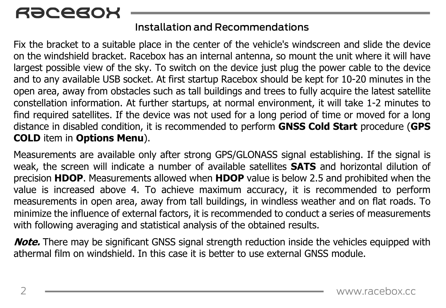#### Installation and Recommendations

Fix the bracket to a suitable place in the center of the vehicle's windscreen and slide the device on the windshield bracket. Racebox has an internal antenna, so mount the unit where it will have largest possible view of the sky. To switch on the device just plug the power cable to the device and to any available USB socket. At first startup Racebox should be kept for 10-20 minutes in the open area, away from obstacles such as tall buildings and trees to fully acquire the latest satellite constellation information. At further startups, at normal environment, it will take 1-2 minutes to find required satellites. If the device was not used for a long period of time or moved for a long distance in disabled condition, it is recommended to perform **GNSS Cold Start** procedure (**GPS COLD** item in **Options Menu**).

Measurements are available only after strong GPS/GLONASS signal establishing. If the signal is weak, the screen will indicate a number of available satellites **SATS** and horizontal dilution of precision **HDOP**. Measurements allowed when **HDOP** value is below 2.5 and prohibited when the value is increased above 4. To achieve maximum accuracy, it is recommended to perform measurements in open area, away from tall buildings, in windless weather and on flat roads. To minimize the influence of external factors, it is recommended to conduct a series of measurements with following averaging and statistical analysis of the obtained results.

**Note.** There may be significant GNSS signal strength reduction inside the vehicles equipped with athermal film on windshield. In this case it is better to use external GNSS module.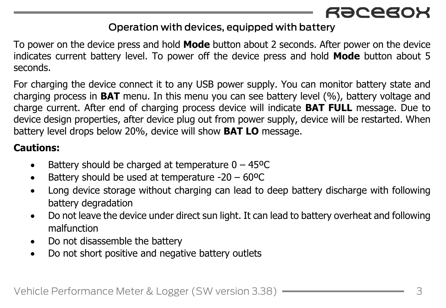### Operation with devices, equipped with battery

To power on the device press and hold **Mode** button about 2 seconds. After power on the device indicates current battery level. To power off the device press and hold **Mode** button about 5 seconds.

For charging the device connect it to any USB power supply. You can monitor battery state and charging process in **BAT** menu. In this menu you can see battery level (%), battery voltage and charge current. After end of charging process device will indicate **BAT FULL** message. Due to device design properties, after device plug out from power supply, device will be restarted. When battery level drops below 20%, device will show **BAT LO** message.

### **Cautions:**

- Battery should be charged at temperature 0 45°C
- Battery should be used at temperature -20 60°C
- Long device storage without charging can lead to deep battery discharge with following battery degradation
- Do not leave the device under direct sun light. It can lead to battery overheat and following malfunction
- Do not disassemble the battery
- Do not short positive and negative battery outlets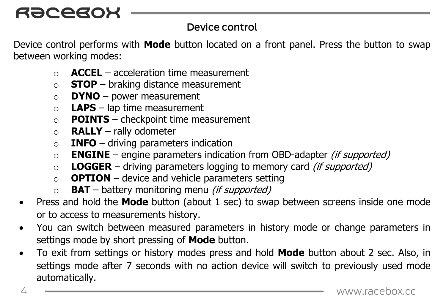#### Device control

Device control performs with **Mode** button located on a front panel. Press the button to swap between working modes:

- o **ACCEL** acceleration time measurement
- o **STOP** braking distance measurement
- o **DYNO** power measurement
- o **LAPS** lap time measurement
- o **POINTS** checkpoint time measurement
- o **RALLY**  rally odometer
- o **INFO** driving parameters indication
- o **ENGINE** engine parameters indication from OBD-adapter (if supported)
- o **LOGGER** driving parameters logging to memory card (if supported)
- o **OPTION** device and vehicle parameters setting
- o **BAT**  battery monitoring menu (if supported)
- Press and hold the **Mode** button (about 1 sec) to swap between screens inside one mode or to access to measurements history.
- You can switch between measured parameters in history mode or change parameters in settings mode by short pressing of **Mode** button.
- To exit from settings or history modes press and hold **Mode** button about 2 sec. Also, in settings mode after 7 seconds with no action device will switch to previously used mode automatically.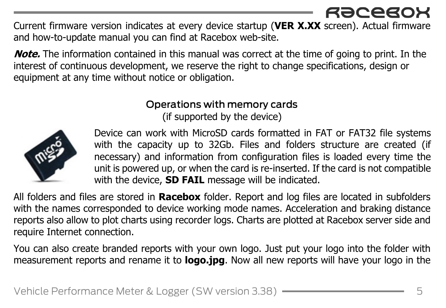Current firmware version indicates at every device startup (**VER X.XX** screen). Actual firmware and how-to-update manual you can find at Racebox web-site.

**Note.** The information contained in this manual was correct at the time of going to print. In the interest of continuous development, we reserve the right to change specifications, design or equipment at any time without notice or obligation.

Operations with memory cards

(if supported by the device)



Device can work with MicroSD cards formatted in FAT or FAT32 file systems with the capacity up to 32Gb. Files and folders structure are created (if necessary) and information from configuration files is loaded every time the unit is powered up, or when the card is re-inserted. If the card is not compatible with the device, **SD FAIL** message will be indicated.

All folders and files are stored in **Racebox** folder. Report and log files are located in subfolders with the names corresponded to device working mode names. Acceleration and braking distance reports also allow to plot charts using recorder logs. Charts are plotted at Racebox server side and require Internet connection.

You can also create branded reports with your own logo. Just put your logo into the folder with measurement reports and rename it to **logo.jpg**. Now all new reports will have your logo in the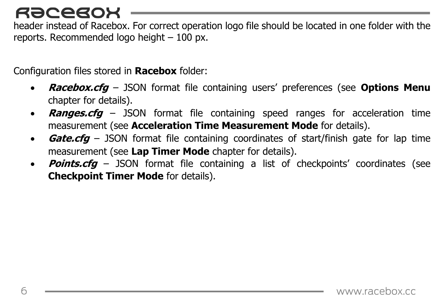header instead of Racebox. For correct operation logo file should be located in one folder with the reports. Recommended logo height – 100 px.

Configuration files stored in **Racebox** folder:

- **Racebox.cfg** JSON format file containing users' preferences (see **Options Menu** chapter for details).
- **Ranges.cfg** JSON format file containing speed ranges for acceleration time measurement (see **Acceleration Time Measurement Mode** for details).
- **Gate.cfg** JSON format file containing coordinates of start/finish gate for lap time measurement (see **Lap Timer Mode** chapter for details).
- **Points.cfa** JSON format file containing a list of checkpoints' coordinates (see **Checkpoint Timer Mode** for details).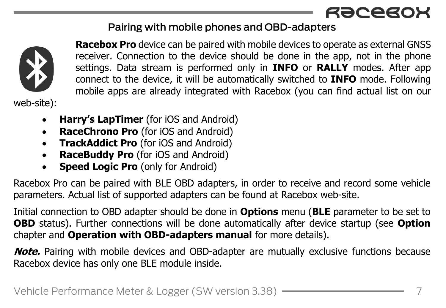#### Pairing with mobile phones and OBD-adapters



**Racebox Pro** device can be paired with mobile devices to operate as external GNSS receiver. Connection to the device should be done in the app, not in the phone settings. Data stream is performed only in **INFO** or **RALLY** modes. After app connect to the device, it will be automatically switched to **INFO** mode. Following mobile apps are already integrated with Racebox (you can find actual list on our

web-site):

- **Harry's LapTimer** (for iOS and Android)
- **RaceChrono Pro** (for iOS and Android)
- **TrackAddict Pro** (for iOS and Android)
- **RaceBuddy Pro** (for iOS and Android)
- **Speed Logic Pro** (only for Android)

Racebox Pro can be paired with BLE OBD adapters, in order to receive and record some vehicle parameters. Actual list of supported adapters can be found at Racebox web-site.

Initial connection to OBD adapter should be done in **Options** menu (**BLE** parameter to be set to **OBD** status). Further connections will be done automatically after device startup (see **Option** chapter and **Operation with OBD-adapters manual** for more details).

**Note.** Pairing with mobile devices and OBD-adapter are mutually exclusive functions because Racebox device has only one BLE module inside.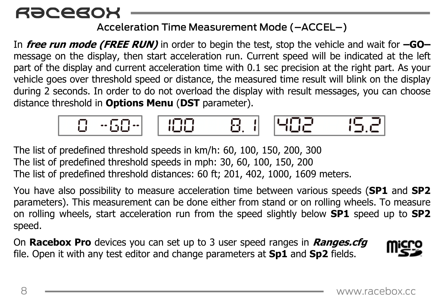### Acceleration Time Measurement Mode (–ACCEL–)

In **free run mode (FREE RUN)** in order to begin the test, stop the vehicle and wait for **–GO–** message on the display, then start acceleration run. Current speed will be indicated at the left part of the display and current acceleration time with 0.1 sec precision at the right part. As your vehicle goes over threshold speed or distance, the measured time result will blink on the display during 2 seconds. In order to do not overload the display with result messages, you can choose distance threshold in **Options Menu** (**DST** parameter).

The list of predefined threshold speeds in km/h: 60, 100, 150, 200, 300 The list of predefined threshold speeds in mph: 30, 60, 100, 150, 200 The list of predefined threshold distances: 60 ft; 201, 402, 1000, 1609 meters.

You have also possibility to measure acceleration time between various speeds (**SP1** and **SP2** parameters). This measurement can be done either from stand or on rolling wheels. To measure on rolling wheels, start acceleration run from the speed slightly below **SP1** speed up to **SP2** speed.

On **Racebox Pro** devices you can set up to 3 user speed ranges in **Ranges.cfg** file. Open it with any test editor and change parameters at **Sp1** and **Sp2** fields.

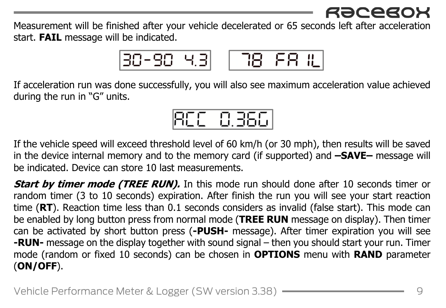Measurement will be finished after your vehicle decelerated or 65 seconds left after acceleration start. **FAIL** message will be indicated.

$$
\fbox{30-90} \quad \fbox{4.3} \quad \fbox{78} \quad \fbox{F8 L}
$$

If acceleration run was done successfully, you will also see maximum acceleration value achieved during the run in "G" units.

If the vehicle speed will exceed threshold level of 60 km/h (or 30 mph), then results will be saved in the device internal memory and to the memory card (if supported) and **–SAVE–** message will be indicated. Device can store 10 last measurements.

**Start by timer mode (TREE RUN).** In this mode run should done after 10 seconds timer or random timer (3 to 10 seconds) expiration. After finish the run you will see your start reaction time (**RT**). Reaction time less than 0.1 seconds considers as invalid (false start). This mode can be enabled by long button press from normal mode (**TREE RUN** message on display). Then timer can be activated by short button press (**-PUSH-** message). After timer expiration you will see **-RUN-** message on the display together with sound signal – then you should start your run. Timer mode (random or fixed 10 seconds) can be chosen in **OPTIONS** menu with **RAND** parameter (**ON/OFF**).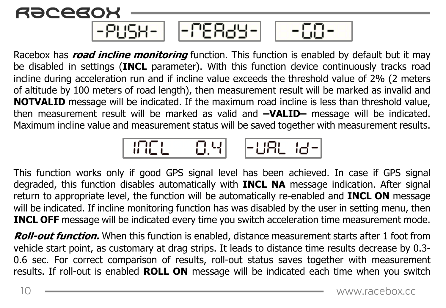Racebox has **road incline monitoring** function. This function is enabled by default but it may be disabled in settings (**INCL** parameter). With this function device continuously tracks road incline during acceleration run and if incline value exceeds the threshold value of 2% (2 meters of altitude by 100 meters of road length), then measurement result will be marked as invalid and **NOTVALID** message will be indicated. If the maximum road incline is less than threshold value, then measurement result will be marked as valid and **–VALID–** message will be indicated. Maximum incline value and measurement status will be saved together with measurement results.

$$
\begin{array}{|c|c|c|c|c|}\hline\text{InCL} & 0.9\hline\end{array}
$$



This function works only if good GPS signal level has been achieved. In case if GPS signal degraded, this function disables automatically with **INCL NA** message indication. After signal return to appropriate level, the function will be automatically re-enabled and **INCL ON** message will be indicated. If incline monitoring function has was disabled by the user in setting menu, then **INCL OFF** message will be indicated every time you switch acceleration time measurement mode.

**Roll-out function.** When this function is enabled, distance measurement starts after 1 foot from vehicle start point, as customary at drag strips. It leads to distance time results decrease by 0.3- 0.6 sec. For correct comparison of results, roll-out status saves together with measurement results. If roll-out is enabled **ROLL ON** message will be indicated each time when you switch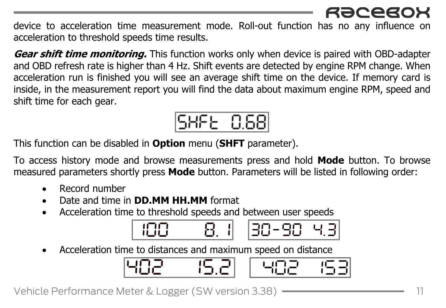device to acceleration time measurement mode. Roll-out function has no any influence on acceleration to threshold speeds time results.

**Gear shift time monitoring.** This function works only when device is paired with OBD-adapter and OBD refresh rate is higher than 4 Hz. Shift events are detected by engine RPM change. When acceleration run is finished you will see an average shift time on the device. If memory card is inside, in the measurement report you will find the data about maximum engine RPM, speed and shift time for each gear.



This function can be disabled in **Option** menu (**SHFT** parameter).

To access history mode and browse measurements press and hold **Mode** button. To browse measured parameters shortly press **Mode** button. Parameters will be listed in following order:

- Record number
- Date and time in **DD.MM HH.MM** format
- Acceleration time to threshold speeds and between user speeds





• Acceleration time to distances and maximum speed on distance



|--|

Vehicle Performance Meter & Logger (SW version 3.38) 11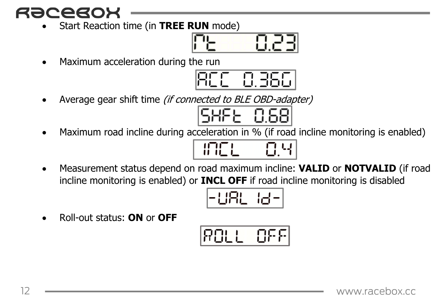• Start Reaction time (in **TREE RUN** mode)

$$
\Gamma \epsilon = -0.23
$$

• Maximum acceleration during the run



Average gear shift time (if connected to BLE OBD-adapter)



• Maximum road incline during acceleration in % (if road incline monitoring is enabled)

• Measurement status depend on road maximum incline: **VALID** or **NOTVALID** (if road incline monitoring is enabled) or **INCL OFF** if road incline monitoring is disabled

$$
\neg \text{URL} \text{Id} \neg
$$

• Roll-out status: **ON** or **OFF**

$$
\fbox{POLL} \fbox{OFF}
$$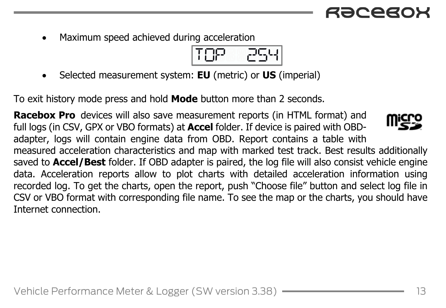• Maximum speed achieved during acceleration

$$
\overline{FOP} = \overline{eS}H
$$

• Selected measurement system: **EU** (metric) or **US** (imperial)

To exit history mode press and hold **Mode** button more than 2 seconds.

**Racebox Pro** devices will also save measurement reports (in HTML format) and full logs (in CSV, GPX or VBO formats) at **Accel** folder. If device is paired with OBDadapter, logs will contain engine data from OBD. Report contains a table with measured acceleration characteristics and map with marked test track. Best results additionally saved to **Accel/Best** folder. If OBD adapter is paired, the log file will also consist vehicle engine data. Acceleration reports allow to plot charts with detailed acceleration information using recorded log. To get the charts, open the report, push "Choose file" button and select log file in CSV or VBO format with corresponding file name. To see the map or the charts, you should have Internet connection.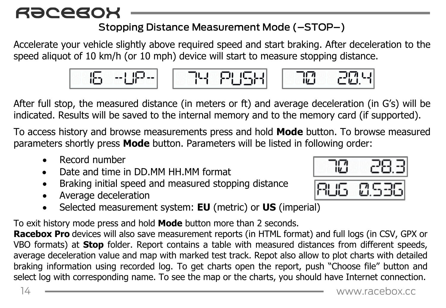### **RACAROX** Stopping Distance Measurement Mode (–STOP–)

## Accelerate your vehicle slightly above required speed and start braking. After deceleration to the speed aliquot of 10 km/h (or 10 mph) device will start to measure stopping distance. **THERISH**

After full stop, the measured distance (in meters or ft) and average deceleration (in G's) will be indicated. Results will be saved to the internal memory and to the memory card (if supported).

To access history and browse measurements press and hold **Mode** button. To browse measured parameters shortly press **Mode** button. Parameters will be listed in following order:

- Record number
- Date and time in DD.MM HH.MM format

15 - IP-1

- Braking initial speed and measured stopping distance
- Average deceleration
- Selected measurement system: **EU** (metric) or **US** (imperial)

To exit history mode press and hold **Mode** button more than 2 seconds.

**Racebox Pro** devices will also save measurement reports (in HTML format) and full logs (in CSV, GPX or VBO formats) at **Stop** folder. Report contains a table with measured distances from different speeds, average deceleration value and map with marked test track. Repot also allow to plot charts with detailed braking information using recorded log. To get charts open the report, push "Choose file" button and select log with corresponding name. To see the map or the charts, you should have Internet connection.





20.4



w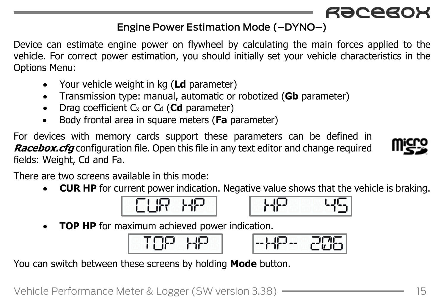### Engine Power Estimation Mode (–DYNO–)

Device can estimate engine power on flywheel by calculating the main forces applied to the vehicle. For correct power estimation, you should initially set your vehicle characteristics in the Options Menu:

- Your vehicle weight in kg (**Ld** parameter)
- Transmission type: manual, automatic or robotized (**Gb** parameter)
- Drag coefficient C<sub>x</sub> or C<sub>d</sub> (Cd parameter)
- Body frontal area in square meters (**Fa** parameter)

For devices with memory cards support these parameters can be defined in **Racebox.cfg** configuration file. Open this file in any text editor and change required fields: Weight, Cd and Fa.



There are two screens available in this mode:

• **CUR HP** for current power indication. Negative value shows that the vehicle is braking.

$$
\overline{\mathsf{CLR} \ \mathsf{HP}}
$$



• **TOP HP** for maximum achieved power indication.

$$
\mathbb{T}\mathbb{CP} \to \mathbb{RP}
$$



You can switch between these screens by holding **Mode** button.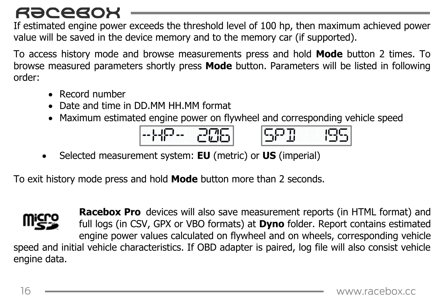If estimated engine power exceeds the threshold level of 100 hp, then maximum achieved power value will be saved in the device memory and to the memory car (if supported).

To access history mode and browse measurements press and hold **Mode** button 2 times. To browse measured parameters shortly press **Mode** button. Parameters will be listed in following order:

- Record number
- Date and time in DD MM HH MM format
- Maximum estimated engine power on flywheel and corresponding vehicle speed

$$
\boxed{\neg \text{HP} = 206} \qquad \boxed{\text{SPB}} \qquad \boxed{95}
$$

• Selected measurement system: **EU** (metric) or **US** (imperial)

To exit history mode press and hold **Mode** button more than 2 seconds.



**Racebox Pro** devices will also save measurement reports (in HTML format) and full logs (in CSV, GPX or VBO formats) at **Dyno** folder. Report contains estimated engine power values calculated on flywheel and on wheels, corresponding vehicle speed and initial vehicle characteristics. If OBD adapter is paired, log file will also consist vehicle engine data.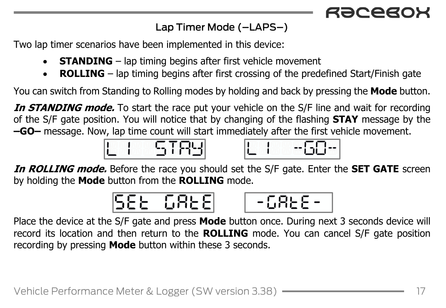#### Lap Timer Mode (–LAPS–)

Two lap timer scenarios have been implemented in this device:

- **STANDING** lap timing begins after first vehicle movement
- **ROLLING** lap timing begins after first crossing of the predefined Start/Finish gate

You can switch from Standing to Rolling modes by holding and back by pressing the **Mode** button.

**In STANDING mode.** To start the race put your vehicle on the S/F line and wait for recording of the S/F gate position. You will notice that by changing of the flashing **STAY** message by the **–GO–** message. Now, lap time count will start immediately after the first vehicle movement.

$$
\begin{array}{|c|c|c|c|c|}\hline \text{L} & \text{5TBY} \\ \hline \end{array}
$$

$$
\boxed{1 + 1 + 50}
$$

**In ROLLING mode.** Before the race you should set the S/F gate. Enter the **SET GATE** screen by holding the **Mode** button from the **ROLLING** mode.

$$
-GBEE-
$$

 Place the device at the S/F gate and press **Mode** button once. During next 3 seconds device will record its location and then return to the **ROLLING** mode. You can cancel S/F gate position recording by pressing **Mode** button within these 3 seconds.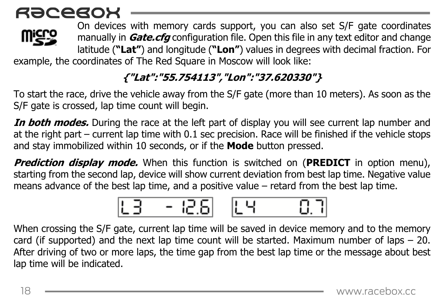

On devices with memory cards support, you can also set S/F gate coordinates manually in **Gate.cfg** configuration file. Open this file in any text editor and change latitude (**"Lat"**) and longitude (**"Lon"**) values in degrees with decimal fraction. For

example, the coordinates of The Red Square in Moscow will look like:

### **{"Lat":"55.754113","Lon":"37.620330"}**

To start the race, drive the vehicle away from the S/F gate (more than 10 meters). As soon as the S/F gate is crossed, lap time count will begin.

**In both modes.** During the race at the left part of display you will see current lap number and at the right part – current lap time with 0.1 sec precision. Race will be finished if the vehicle stops and stay immobilized within 10 seconds, or if the **Mode** button pressed.

**Prediction display mode.** When this function is switched on (**PREDICT** in option menu), starting from the second lap, device will show current deviation from best lap time. Negative value means advance of the best lap time, and a positive value – retard from the best lap time.

When crossing the S/F gate, current lap time will be saved in device memory and to the memory card (if supported) and the next lap time count will be started. Maximum number of laps – 20. After driving of two or more laps, the time gap from the best lap time or the message about best lap time will be indicated.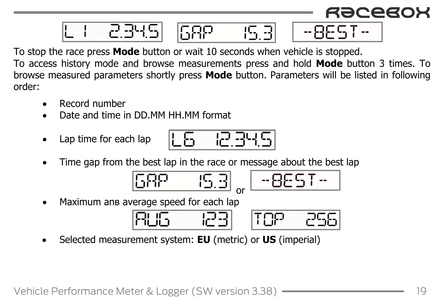To stop the race press **Mode** button or wait 10 seconds when vehicle is stopped.

To access history mode and browse measurements press and hold **Mode** button 3 times. To browse measured parameters shortly press **Mode** button. Parameters will be listed in following order:

- Record number
- Date and time in DD.MM HH.MM format
- Lap time for each lap

Time gap from the best lap in the race or message about the best lap

or



• Maximum ann average speed for each lap





• Selected measurement system: **EU** (metric) or **US** (imperial)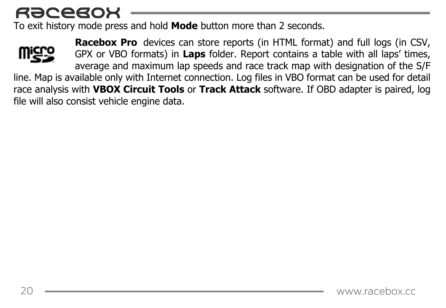To exit history mode press and hold **Mode** button more than 2 seconds.



**Racebox Pro** devices can store reports (in HTML format) and full logs (in CSV, GPX or VBO formats) in **Laps** folder. Report contains a table with all laps' times, average and maximum lap speeds and race track map with designation of the S/F

line. Map is available only with Internet connection. Log files in VBO format can be used for detail race analysis with **VBOX Circuit Tools** or **Track Attack** software. If OBD adapter is paired, log file will also consist vehicle engine data.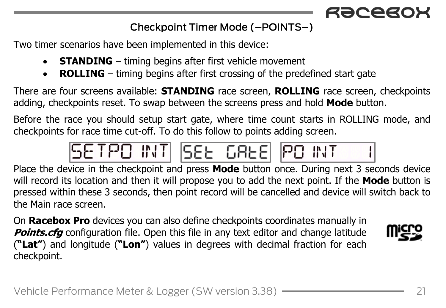### Checkpoint Timer Mode (–POINTS–)

Two timer scenarios have been implemented in this device:

- **STANDING** timing begins after first vehicle movement
- **ROLLING** timing begins after first crossing of the predefined start gate

There are four screens available: **STANDING** race screen, **ROLLING** race screen, checkpoints adding, checkpoints reset. To swap between the screens press and hold **Mode** button.

Before the race you should setup start gate, where time count starts in ROLLING mode, and checkpoints for race time cut-off. To do this follow to points adding screen.





**PLACE TREM INT**<br>Place the device in the checkpoint and press **Mode** button once. During next 3 seconds device will record its location and then it will propose you to add the next point. If the **Mode** button is pressed within these 3 seconds, then point record will be cancelled and device will switch back to the Main race screen.

On **Racebox Pro** devices you can also define checkpoints coordinates manually in **Points.cfa** configuration file. Open this file in any text editor and change latitude (**"Lat"**) and longitude (**"Lon"**) values in degrees with decimal fraction for each checkpoint.

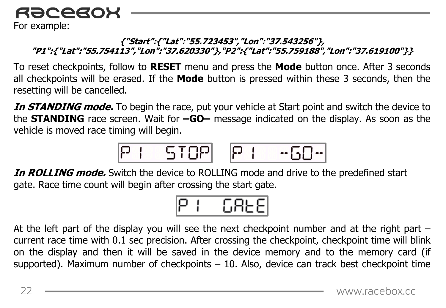For example:

#### **{"Start":{"Lat":"55.723453","Lon":"37.543256"},**

**"P1":{"Lat":"55.754113","Lon":"37.620330"},"P2":{"Lat":"55.759188","Lon":"37.619100"}}**

To reset checkpoints, follow to **RESET** menu and press the **Mode** button once. After 3 seconds all checkpoints will be erased. If the **Mode** button is pressed within these 3 seconds, then the resetting will be cancelled.

**In STANDING mode.** To begin the race, put your vehicle at Start point and switch the device to the **STANDING** race screen. Wait for **–GO–** message indicated on the display. As soon as the vehicle is moved race timing will begin.

**In ROLLING mode.** Switch the device to ROLLING mode and drive to the predefined start gate. Race time count will begin after crossing the start gate.



At the left part of the display you will see the next checkpoint number and at the right part – current race time with 0.1 sec precision. After crossing the checkpoint, checkpoint time will blink on the display and then it will be saved in the device memory and to the memory card (if supported). Maximum number of checkpoints – 10. Also, device can track best checkpoint time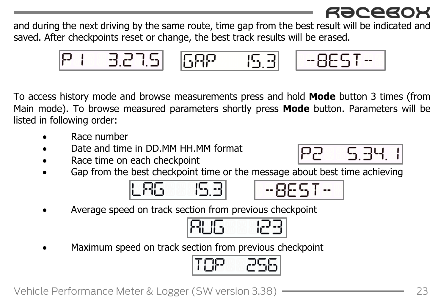and during the next driving by the same route, time gap from the best result will be indicated and saved. After checkpoints reset or change, the best track results will be erased.

$$
P := 3.27.5 \quad \boxed{GRP = 15.3} \quad \boxed{-8EST}
$$

To access history mode and browse measurements press and hold **Mode** button 3 times (from Main mode). To browse measured parameters shortly press **Mode** button. Parameters will be listed in following order:

- Race number
- Date and time in DD.MM HH.MM format
- Race time on each checkpoint
- Gap from the best checkpoint time or the message about best time achieving





קקן

• Average speed on track section from previous checkpoint

$$
RUS = R23
$$

• Maximum speed on track section from previous checkpoint

$$
|TOP| = 255
$$

RACEBOX

- 5.34. 1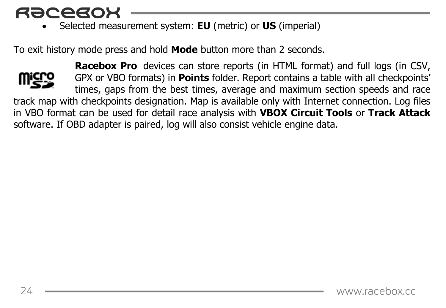• Selected measurement system: **EU** (metric) or **US** (imperial)

To exit history mode press and hold **Mode** button more than 2 seconds.



**Racebox Pro** devices can store reports (in HTML format) and full logs (in CSV, GPX or VBO formats) in **Points** folder. Report contains a table with all checkpoints' times, gaps from the best times, average and maximum section speeds and race track map with checkpoints designation. Map is available only with Internet connection. Log files in VBO format can be used for detail race analysis with **VBOX Circuit Tools** or **Track Attack**  software. If OBD adapter is paired, log will also consist vehicle engine data.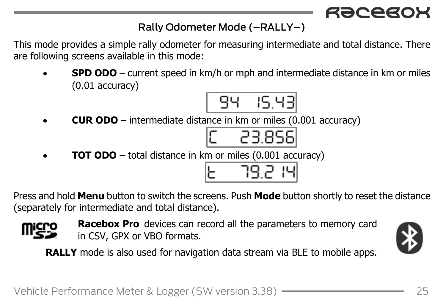### Rally Odometer Mode (–RALLY–)

This mode provides a simple rally odometer for measuring intermediate and total distance. There are following screens available in this mode:

• **SPD ODO** – current speed in km/h or mph and intermediate distance in km or miles (0.01 accuracy)

$$
\begin{array}{c}\n 94 \quad 15.43\n \end{array}
$$

• **CUR ODO** – intermediate distance in km or miles (0.001 accuracy)



• **TOT ODO** – total distance in km or miles (0.001 accuracy) או קפר

Press and hold **Menu** button to switch the screens. Push **Mode** button shortly to reset the distance (separately for intermediate and total distance).



**Racebox Pro** devices can record all the parameters to memory card in CSV, GPX or VBO formats.



**RALLY** mode is also used for navigation data stream via BLE to mobile apps.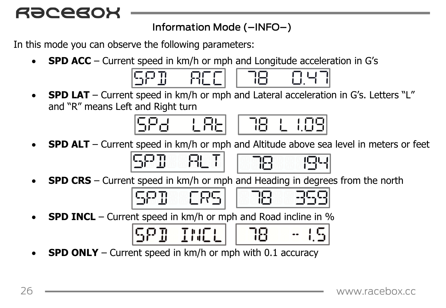### Information Mode (–INFO–)

In this mode you can observe the following parameters:

• **SPD ACC** – Current speed in km/h or mph and Longitude acceleration in G's





• **SPD LAT** – Current speed in km/h or mph and Lateral acceleration in G's. Letters "L" and "R" means Left and Right turn





**SPD ALT** – Current speed in km/h or mph and Altitude above sea level in meters or feet





• **SPD CRS** – Current speed in km/h or mph and Heading in degrees from the north





• **SPD INCL** – Current speed in km/h or mph and Road incline in %





• **SPD ONLY** – Current speed in km/h or mph with 0.1 accuracy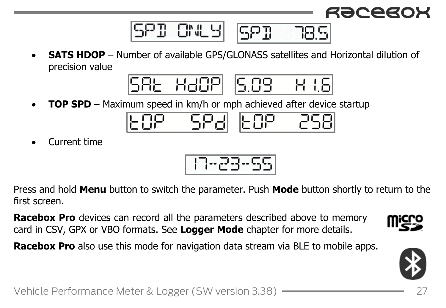#### • **SATS HDOP** – Number of available GPS/GLONASS satellites and Horizontal dilution of precision value

S86 8808 S.09 I

EOP

- **TOP SPD** Maximum speed in km/h or mph achieved after device startup
- Current time

Press and hold **Menu** button to switch the parameter. Push **Mode** button shortly to return to the first screen.

**Racebox Pro** devices can record all the parameters described above to memory card in CSV, GPX or VBO formats. See **Logger Mode** chapter for more details.

**Racebox Pro** also use this mode for navigation data stream via BLE to mobile apps.













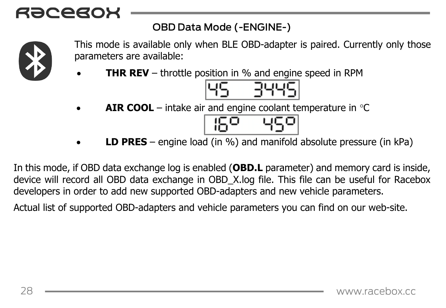

#### OBD Data Mode (-ENGINE-)



This mode is available only when BLE OBD-adapter is paired. Currently only those parameters are available:

• **THR REV** – throttle position in % and engine speed in RPM



• **AIR COOL** – intake air and engine coolant temperature in °С



• **LD PRES** – engine load (in %) and manifold absolute pressure (in kPa)

In this mode, if OBD data exchange log is enabled (**OBD.L** parameter) and memory card is inside, device will record all OBD data exchange in OBD\_X.log file. This file can be useful for Racebox developers in order to add new supported OBD-adapters and new vehicle parameters.

Actual list of supported OBD-adapters and vehicle parameters you can find on our web-site.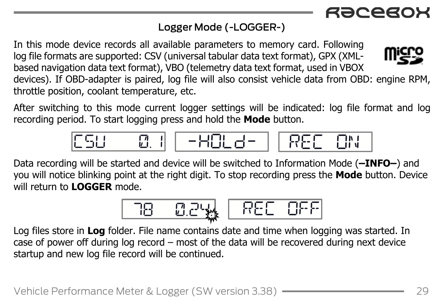### Logger Mode (-LOGGER-)

In this mode device records all available parameters to memory card. Following log file formats are supported: CSV (universal tabular data text format), GPX (XMLbased navigation data text format), VBO (telemetry data text format, used in VBOX devices). If OBD-adapter is paired, log file will also consist vehicle data from OBD: engine RPM, throttle position, coolant temperature, etc.

After switching to this mode current logger settings will be indicated: log file format and log recording period. To start logging press and hold the **Mode** button.

$$
\overline{\text{CSU}}=\text{C}
$$

$$
]\left[-\text{HOL}\right.
$$

$$
\overline{\text{DLd}^{-}}\, [
$$

REE ON

Data recording will be started and device will be switched to Information Mode (**–INFO–**) and you will notice blinking point at the right digit. To stop recording press the **Mode** button. Device will return to **LOGGER** mode.

Log files store in **Log** folder. File name contains date and time when logging was started. In case of power off during log record – most of the data will be recovered during next device startup and new log file record will be continued.



RACAROX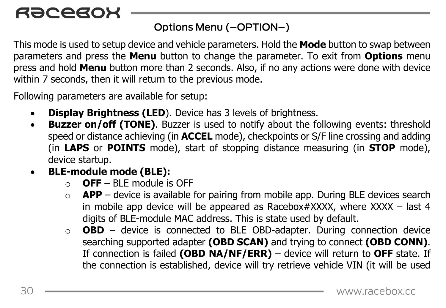### Options Menu (–OPTION–)

This mode is used to setup device and vehicle parameters. Hold the **Mode** button to swap between parameters and press the **Menu** button to change the parameter. To exit from **Options** menu press and hold **Menu** button more than 2 seconds. Also, if no any actions were done with device within 7 seconds, then it will return to the previous mode.

Following parameters are available for setup:

- **Display Brightness (LED).** Device has 3 levels of brightness.
- **Buzzer on/off (TONE)**. Buzzer is used to notify about the following events: threshold speed or distance achieving (in **ACCEL** mode), checkpoints or S/F line crossing and adding (in **LAPS** or **POINTS** mode), start of stopping distance measuring (in **STOP** mode), device startup.
- **BLE-module mode (BLE):**
	- o **OFF** BLE module is OFF
	- o **APP** device is available for pairing from mobile app. During BLE devices search in mobile app device will be appeared as  $Racebox#XXXX$ , where XXXX – last 4 digits of BLE-module MAC address. This is state used by default.
	- o **OBD** device is connected to BLE OBD-adapter. During connection device searching supported adapter **(OBD SCAN)** and trying to connect **(OBD CONN)**. If connection is failed **(OBD NA/NF/ERR)** – device will return to **OFF** state. If the connection is established, device will try retrieve vehicle VIN (it will be used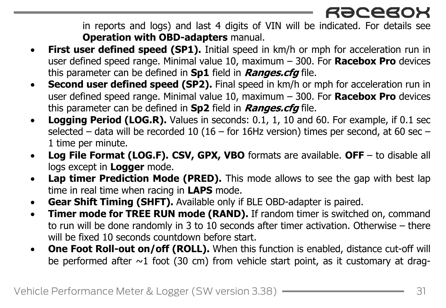in reports and logs) and last 4 digits of VIN will be indicated. For details see **Operation with OBD-adapters** manual.

- **First user defined speed (SP1).** Initial speed in km/h or mph for acceleration run in user defined speed range. Minimal value 10, maximum – 300. For **Racebox Pro** devices this parameter can be defined in **Sp1** field in **Ranges.cfg** file.
- **Second user defined speed (SP2).** Final speed in km/h or mph for acceleration run in user defined speed range. Minimal value 10, maximum – 300. For **Racebox Pro** devices this parameter can be defined in **Sp2** field in **Ranges.cfg** file.
- **Logging Period (LOG.R).** Values in seconds: 0.1, 1, 10 and 60. For example, if 0.1 sec selected – data will be recorded 10 (16 – for 16Hz version) times per second, at 60 sec – 1 time per minute.
- **Log File Format (LOG.F). CSV, GPX, VBO** formats are available. **OFF**  to disable all logs except in **Logger** mode.
- Lap timer Prediction Mode (PRED). This mode allows to see the gap with best lap time in real time when racing in **LAPS** mode.
- **Gear Shift Timing (SHFT).** Available only if BLE OBD-adapter is paired.
- **Timer mode for TREE RUN mode (RAND).** If random timer is switched on, command to run will be done randomly in 3 to 10 seconds after timer activation. Otherwise – there will be fixed 10 seconds countdown before start.
- **One Foot Roll-out on/off (ROLL).** When this function is enabled, distance cut-off will be performed after  $\sim$ 1 foot (30 cm) from vehicle start point, as it customary at drag-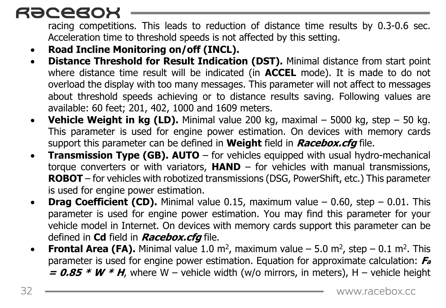racing competitions. This leads to reduction of distance time results by 0.3-0.6 sec. Acceleration time to threshold speeds is not affected by this setting.

- **Road Incline Monitoring on/off (INCL).**
- **Distance Threshold for Result Indication (DST).** Minimal distance from start point where distance time result will be indicated (in **ACCEL** mode). It is made to do not overload the display with too many messages. This parameter will not affect to messages about threshold speeds achieving or to distance results saving. Following values are available: 60 feet; 201, 402, 1000 and 1609 meters.
- **Vehicle Weight in kg (LD).** Minimal value 200 kg, maximal 5000 kg, step 50 kg. This parameter is used for engine power estimation. On devices with memory cards support this parameter can be defined in **Weight** field in **Racebox.cfg** file.
- **Transmission Type (GB). AUTO** for vehicles equipped with usual hydro-mechanical torque converters or with variators, **HAND** – for vehicles with manual transmissions, **ROBOT** – for vehicles with robotized transmissions (DSG, PowerShift, etc.) This parameter is used for engine power estimation.
- **Drag Coefficient**  $(CD)$ **.** Minimal value 0.15, maximum value  $-$  0.60, step  $-$  0.01. This parameter is used for engine power estimation. You may find this parameter for your vehicle model in Internet. On devices with memory cards support this parameter can be defined in **Cd** field in **Racebox.cfg** file.
- **Frontal Area (FA).** Minimal value 1.0  $m^2$ , maximum value  $-5.0$   $m^2$ , step  $-0.1$  m<sup>2</sup>. This parameter is used for engine power estimation. Equation for approximate calculation: **F<sup>a</sup>**  $= 0.85 * W * H$ , where W – vehicle width (w/o mirrors, in meters), H – vehicle height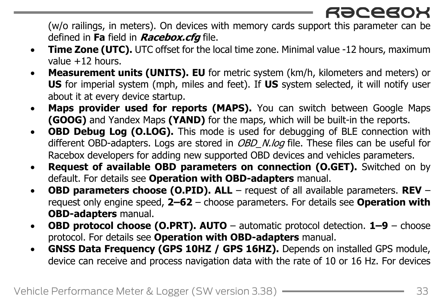(w/o railings, in meters). On devices with memory cards support this parameter can be defined in **Fa** field in **Racebox.cfg** file.

- **Time Zone (UTC).** UTC offset for the local time zone. Minimal value -12 hours, maximum value +12 hours.
- **Measurement units (UNITS). EU** for metric system (km/h, kilometers and meters) or **US** for imperial system (mph, miles and feet). If **US** system selected, it will notify user about it at every device startup.
- **Maps provider used for reports (MAPS).** You can switch between Google Maps **(GOOG)** and Yandex Maps **(YAND)** for the maps, which will be built-in the reports.
- **OBD Debug Log (O.LOG).** This mode is used for debugging of BLE connection with different OBD-adapters. Logs are stored in *OBD\_N.log* file. These files can be useful for Racebox developers for adding new supported OBD devices and vehicles parameters.
- **Request of available OBD parameters on connection (O.GET).** Switched on by default. For details see **Operation with OBD-adapters** manual.
- **OBD parameters choose (O.PID). ALL** request of all available parameters. **REV** request only engine speed, **2–62** – choose parameters. For details see **Operation with OBD-adapters** manual.
- **OBD protocol choose (O.PRT). AUTO**  automatic protocol detection. **1–9** choose protocol. For details see **Operation with OBD-adapters** manual.
- **GNSS Data Frequency (GPS 10HZ / GPS 16HZ).** Depends on installed GPS module, device can receive and process navigation data with the rate of 10 or 16 Hz. For devices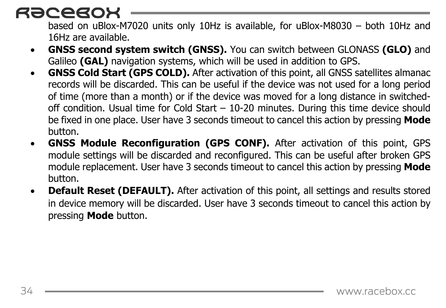based on uBlox-M7020 units only 10Hz is available, for uBlox-M8030 – both 10Hz and 16Hz are available.

- **GNSS second system switch (GNSS).** You can switch between GLONASS **(GLO)** and Galileo **(GAL)** navigation systems, which will be used in addition to GPS.
- **GNSS Cold Start (GPS COLD).** After activation of this point, all GNSS satellites almanac records will be discarded. This can be useful if the device was not used for a long period of time (more than a month) or if the device was moved for a long distance in switchedoff condition. Usual time for Cold Start – 10-20 minutes. During this time device should be fixed in one place. User have 3 seconds timeout to cancel this action by pressing **Mode** button.
- **GNSS Module Reconfiguration (GPS CONF).** After activation of this point, GPS module settings will be discarded and reconfigured. This can be useful after broken GPS module replacement. User have 3 seconds timeout to cancel this action by pressing **Mode** button.
- **Default Reset (DEFAULT).** After activation of this point, all settings and results stored in device memory will be discarded. User have 3 seconds timeout to cancel this action by pressing **Mode** button.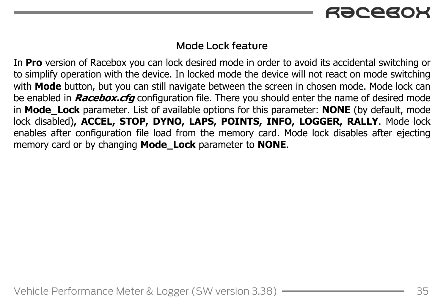#### Mode Lock feature

In **Pro** version of Racebox you can lock desired mode in order to avoid its accidental switching or to simplify operation with the device. In locked mode the device will not react on mode switching with **Mode** button, but you can still navigate between the screen in chosen mode. Mode lock can be enabled in **Racebox.cfg** configuration file. There you should enter the name of desired mode in **Mode\_Lock** parameter. List of available options for this parameter: **NONE** (by default, mode lock disabled)**, ACCEL, STOP, DYNO, LAPS, POINTS, INFO, LOGGER, RALLY**. Mode lock enables after configuration file load from the memory card. Mode lock disables after ejecting memory card or by changing **Mode\_Lock** parameter to **NONE**.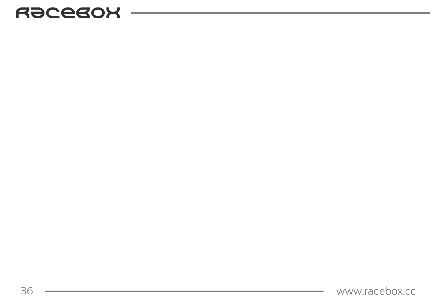## $R$ acegox  $\qquad$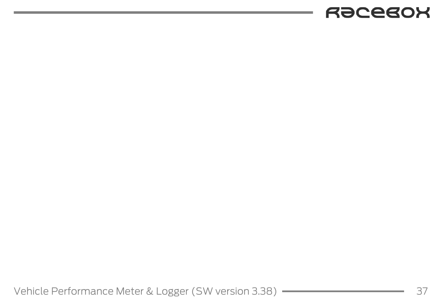Vehicle Performance Meter & Logger (SW version 3.38) - Same Section 37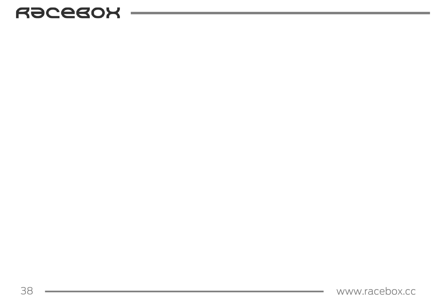## $R$ acegox  $\qquad$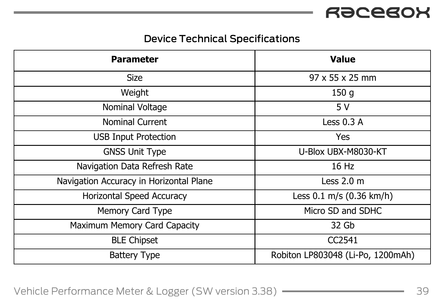Device Technical Specifications

| Parameter                               | Value                             |
|-----------------------------------------|-----------------------------------|
| Size                                    | $97 \times 55 \times 25$ mm       |
| Weight                                  | 150q                              |
| Nominal Voltage                         | 5V                                |
| Nominal Current                         | Less $0.3A$                       |
| <b>USB Input Protection</b>             | Yes                               |
| <b>GNSS Unit Type</b>                   | U-Blox UBX-M8030-KT               |
| Navigation Data Refresh Rate            | 16 Hz                             |
| Navigation Accuracy in Horizontal Plane | Less $2.0m$                       |
| Horizontal Speed Accuracy               | Less 0.1 m/s (0.36 km/h)          |
| Memory Card Type                        | Micro SD and SDHC                 |
| Maximum Memory Card Capacity            | 32 Gb                             |
| <b>BLE Chipset</b>                      | CC2541                            |
| <b>Battery Type</b>                     | Robiton LP803048 (Li-Po, 1200mAh) |